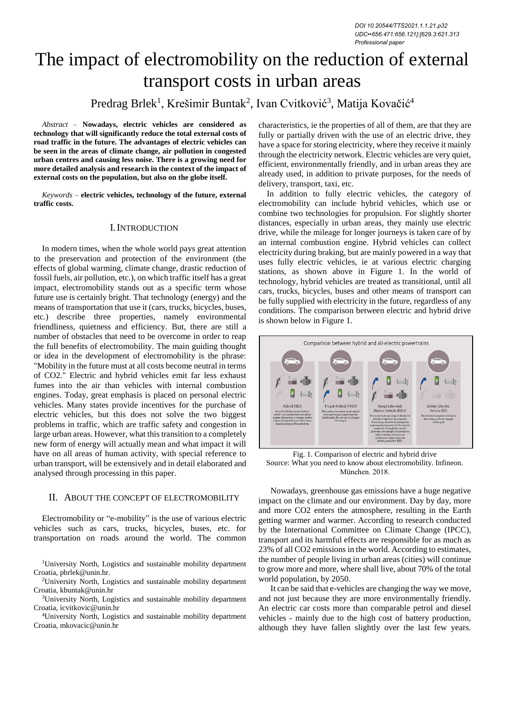# The impact of electromobility on the reduction of external transport costs in urban areas

# Predrag Brlek<sup>1</sup>, Krešimir Buntak<sup>2</sup>, Ivan Cvitković<sup>3</sup>, Matija Kovačić<sup>4</sup>

*Abstract –* **Nowadays, electric vehicles are considered as technology that will significantly reduce the total external costs of road traffic in the future. The advantages of electric vehicles can be seen in the areas of climate change, air pollution in congested urban centres and causing less noise. There is a growing need for more detailed analysis and research in the context of the impact of external costs on the population, but also on the globe itself.**

*Keywords –* **electric vehicles, technology of the future, external traffic costs.**

## I.INTRODUCTION

In modern times, when the whole world pays great attention to the preservation and protection of the environment (the effects of global warming, climate change, drastic reduction of fossil fuels, air pollution, etc.), on which traffic itself has a great impact, electromobility stands out as a specific term whose future use is certainly bright. That technology (energy) and the means of transportation that use it (cars, trucks, bicycles, buses, etc.) describe three properties, namely environmental friendliness, quietness and efficiency. But, there are still a number of obstacles that need to be overcome in order to reap the full benefits of electromobility. The main guiding thought or idea in the development of electromobility is the phrase: "Mobility in the future must at all costs become neutral in terms of CO2." Electric and hybrid vehicles emit far less exhaust fumes into the air than vehicles with internal combustion engines. Today, great emphasis is placed on personal electric vehicles. Many states provide incentives for the purchase of electric vehicles, but this does not solve the two biggest problems in traffic, which are traffic safety and congestion in large urban areas. However, what this transition to a completely new form of energy will actually mean and what impact it will have on all areas of human activity, with special reference to urban transport, will be extensively and in detail elaborated and analysed through processing in this paper.

### II. ABOUT THE CONCEPT OF ELECTROMOBILITY

Electromobility or "e-mobility" is the use of various electric vehicles such as cars, trucks, bicycles, buses, etc. for transportation on roads around the world. The common

<sup>1</sup>University North, Logistics and sustainable mobility department Croatia, pbrlek@unin.hr.

<sup>2</sup>University North, Logistics and sustainable mobility department Croatia, kbuntak@unin.hr

<sup>3</sup>University North, Logistics and sustainable mobility department Croatia, icvitkovic@unin.hr

<sup>4</sup>University North, Logistics and sustainable mobility department Croatia, mkovacic@unin.hr

characteristics, ie the properties of all of them, are that they are fully or partially driven with the use of an electric drive, they have a space for storing electricity, where they receive it mainly through the electricity network. Electric vehicles are very quiet, efficient, environmentally friendly, and in urban areas they are already used, in addition to private purposes, for the needs of delivery, transport, taxi, etc.

In addition to fully electric vehicles, the category of electromobility can include hybrid vehicles, which use or combine two technologies for propulsion. For slightly shorter distances, especially in urban areas, they mainly use electric drive, while the mileage for longer journeys is taken care of by an internal combustion engine. Hybrid vehicles can collect electricity during braking, but are mainly powered in a way that uses fully electric vehicles, ie at various electric charging stations, as shown above in Figure 1. In the world of technology, hybrid vehicles are treated as transitional, until all cars, trucks, bicycles, buses and other means of transport can be fully supplied with electricity in the future, regardless of any conditions. The comparison between electric and hybrid drive is shown below in Figure 1.



Fig. 1. Comparison of electric and hybrid drive Source: What you need to know about electromobility. Infineon. München. 2018.

Nowadays, greenhouse gas emissions have a huge negative impact on the climate and our environment. Day by day, more and more CO2 enters the atmosphere, resulting in the Earth getting warmer and warmer. According to research conducted by the International Committee on Climate Change (IPCC), transport and its harmful effects are responsible for as much as 23% of all CO2 emissions in the world. According to estimates, the number of people living in urban areas (cities) will continue to grow more and more, where shall live, about 70% of the total world population, by 2050.

It can be said that e-vehicles are changing the way we move, and not just because they are more environmentally friendly. An electric car costs more than comparable petrol and diesel vehicles - mainly due to the high cost of battery production, although they have fallen slightly over the last few years.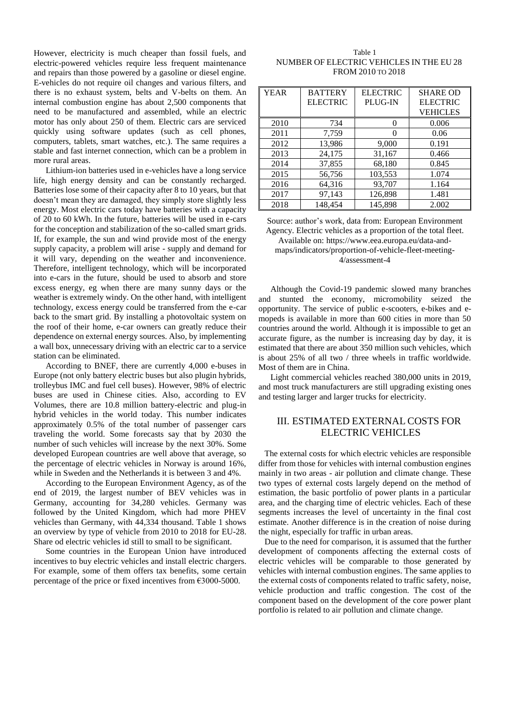However, electricity is much cheaper than fossil fuels, and electric-powered vehicles require less frequent maintenance and repairs than those powered by a gasoline or diesel engine. E-vehicles do not require oil changes and various filters, and there is no exhaust system, belts and V-belts on them. An internal combustion engine has about 2,500 components that need to be manufactured and assembled, while an electric motor has only about 250 of them. Electric cars are serviced quickly using software updates (such as cell phones, computers, tablets, smart watches, etc.). The same requires a stable and fast internet connection, which can be a problem in more rural areas.

Lithium-ion batteries used in e-vehicles have a long service life, high energy density and can be constantly recharged. Batteries lose some of their capacity after 8 to 10 years, but that doesn't mean they are damaged, they simply store slightly less energy. Most electric cars today have batteries with a capacity of 20 to 60 kWh. In the future, batteries will be used in e-cars for the conception and stabilization of the so-called smart grids. If, for example, the sun and wind provide most of the energy supply capacity, a problem will arise - supply and demand for it will vary, depending on the weather and inconvenience. Therefore, intelligent technology, which will be incorporated into e-cars in the future, should be used to absorb and store excess energy, eg when there are many sunny days or the weather is extremely windy. On the other hand, with intelligent technology, excess energy could be transferred from the e-car back to the smart grid. By installing a photovoltaic system on the roof of their home, e-car owners can greatly reduce their dependence on external energy sources. Also, by implementing a wall box, unnecessary driving with an electric car to a service station can be eliminated.

According to BNEF, there are currently 4,000 e-buses in Europe (not only battery electric buses but also plugin hybrids, trolleybus IMC and fuel cell buses). However, 98% of electric buses are used in Chinese cities. Also, according to EV Volumes, there are 10.8 million battery-electric and plug-in hybrid vehicles in the world today. This number indicates approximately 0.5% of the total number of passenger cars traveling the world. Some forecasts say that by 2030 the number of such vehicles will increase by the next 30%. Some developed European countries are well above that average, so the percentage of electric vehicles in Norway is around 16%, while in Sweden and the Netherlands it is between 3 and 4%.

According to the European Environment Agency, as of the end of 2019, the largest number of BEV vehicles was in Germany, accounting for 34,280 vehicles. Germany was followed by the United Kingdom, which had more PHEV vehicles than Germany, with 44,334 thousand. Table 1 shows an overview by type of vehicle from 2010 to 2018 for EU-28. Share od electric vehicles id still to small to be significant.

Some countries in the European Union have introduced incentives to buy electric vehicles and install electric chargers. For example, some of them offers tax benefits, some certain percentage of the price or fixed incentives from  $\epsilon$ 3000-5000.

| Table 1                                  |
|------------------------------------------|
| NUMBER OF ELECTRIC VEHICLES IN THE EU 28 |
| FROM 2010 TO 2018                        |

| <b>YEAR</b> | <b>BATTERY</b><br><b>ELECTRIC</b> | <b>ELECTRIC</b><br>PLUG-IN | <b>SHARE OD</b><br><b>ELECTRIC</b><br><b>VEHICLES</b> |
|-------------|-----------------------------------|----------------------------|-------------------------------------------------------|
| 2010        | 734                               | $\mathbf{\Omega}$          | 0.006                                                 |
| 2011        | 7,759                             | $\Omega$                   | 0.06                                                  |
| 2012        | 13,986                            | 9,000                      | 0.191                                                 |
| 2013        | 24,175                            | 31,167                     | 0.466                                                 |
| 2014        | 37,855                            | 68,180                     | 0.845                                                 |
| 2015        | 56,756                            | 103,553                    | 1.074                                                 |
| 2016        | 64,316                            | 93,707                     | 1.164                                                 |
| 2017        | 97,143                            | 126,898                    | 1.481                                                 |
| 2018        | 148,454                           | 145,898                    | 2.002                                                 |

Source: author's work, data from: European Environment Agency. Electric vehicles as a proportion of the total fleet. Available on: [https://www.eea.europa.eu/data-and](https://www.eea.europa.eu/data-and-maps/indicators/proportion-of-vehicle-fleet-meeting-4/assessment-4)[maps/indicators/proportion-of-vehicle-fleet-meeting-](https://www.eea.europa.eu/data-and-maps/indicators/proportion-of-vehicle-fleet-meeting-4/assessment-4)[4/assessment-4](https://www.eea.europa.eu/data-and-maps/indicators/proportion-of-vehicle-fleet-meeting-4/assessment-4)

Although the Covid-19 pandemic slowed many branches and stunted the economy, micromobility seized the opportunity. The service of public e-scooters, e-bikes and emopeds is available in more than 600 cities in more than 50 countries around the world. Although it is impossible to get an accurate figure, as the number is increasing day by day, it is estimated that there are about 350 million such vehicles, which is about 25% of all two / three wheels in traffic worldwide. Most of them are in China.

Light commercial vehicles reached 380,000 units in 2019, and most truck manufacturers are still upgrading existing ones and testing larger and larger trucks for electricity.

# III. ESTIMATED EXTERNAL COSTS FOR ELECTRIC VEHICLES

The external costs for which electric vehicles are responsible differ from those for vehicles with internal combustion engines mainly in two areas - air pollution and climate change. These two types of external costs largely depend on the method of estimation, the basic portfolio of power plants in a particular area, and the charging time of electric vehicles. Each of these segments increases the level of uncertainty in the final cost estimate. Another difference is in the creation of noise during the night, especially for traffic in urban areas.

Due to the need for comparison, it is assumed that the further development of components affecting the external costs of electric vehicles will be comparable to those generated by vehicles with internal combustion engines. The same applies to the external costs of components related to traffic safety, noise, vehicle production and traffic congestion. The cost of the component based on the development of the core power plant portfolio is related to air pollution and climate change.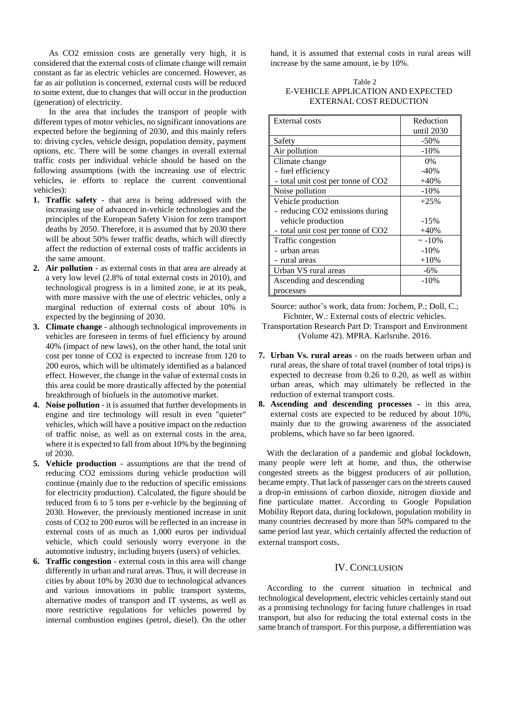As CO2 emission costs are generally very high, it is considered that the external costs of climate change will remain constant as far as electric vehicles are concerned. However, as far as air pollution is concerned, external costs will be reduced to some extent, due to changes that will occur in the production (generation) of electricity.

In the area that includes the transport of people with different types of motor vehicles, no significant innovations are expected before the beginning of 2030, and this mainly refers to: driving cycles, vehicle design, population density, payment options, etc. There will be some changes in overall external traffic costs per individual vehicle should be based on the following assumptions (with the increasing use of electric vehicles, ie efforts to replace the current conventional vehicles):

- **1. Traffic safety** that area is being addressed with the increasing use of advanced in-vehicle technologies and the principles of the European Safety Vision for zero transport deaths by 2050. Therefore, it is assumed that by 2030 there will be about 50% fewer traffic deaths, which will directly affect the reduction of external costs of traffic accidents in the same amount.
- **2. Air pollution** as external costs in that area are already at a very low level (2.8% of total external costs in 2010), and technological progress is in a limited zone, ie at its peak, with more massive with the use of electric vehicles, only a marginal reduction of external costs of about 10% is expected by the beginning of 2030.
- **3. Climate change** although technological improvements in vehicles are foreseen in terms of fuel efficiency by around 40% (impact of new laws), on the other hand, the total unit cost per tonne of CO2 is expected to increase from 120 to 200 euros, which will be ultimately identified as a balanced effect. However, the change in the value of external costs in this area could be more drastically affected by the potential breakthrough of biofuels in the automotive market.
- **4. Noise pollution** it is assumed that further developments in engine and tire technology will result in even "quieter" vehicles, which will have a positive impact on the reduction of traffic noise, as well as on external costs in the area, where it is expected to fall from about 10% by the beginning of 2030.
- **5. Vehicle production** assumptions are that the trend of reducing CO2 emissions during vehicle production will continue (mainly due to the reduction of specific emissions for electricity production). Calculated, the figure should be reduced from 6 to 5 tons per e-vehicle by the beginning of 2030. However, the previously mentioned increase in unit costs of CO2 to 200 euros will be reflected in an increase in external costs of as much as 1,000 euros per individual vehicle, which could seriously worry everyone in the automotive industry, including buyers (users) of vehicles.
- **6. Traffic congestion** external costs in this area will change differently in urban and rural areas. Thus, it will decrease in cities by about 10% by 2030 due to technological advances and various innovations in public transport systems, alternative modes of transport and IT systems, as well as more restrictive regulations for vehicles powered by internal combustion engines (petrol, diesel). On the other

hand, it is assumed that external costs in rural areas will increase by the same amount, ie by 10%.

#### Table 2 E-VEHICLE APPLICATION AND EXPECTED EXTERNAL COST REDUCTION

| <b>External costs</b>              | Reduction    |
|------------------------------------|--------------|
|                                    | until 2030   |
| Safety                             | $-50%$       |
| Air pollution                      | $-10%$       |
| Climate change                     | $0\%$        |
| - fuel efficiency                  | $-40%$       |
| - total unit cost per tonne of CO2 | $+40%$       |
| Noise pollution                    | $-10%$       |
| Vehicle production                 | $+25%$       |
| - reducing CO2 emissions during    |              |
| vehicle production                 | $-15%$       |
| - total unit cost per tonne of CO2 | $+40%$       |
| Traffic congestion                 | $\sim -10\%$ |
| - urban areas                      | $-10%$       |
| - rural areas                      | $+10%$       |
| Urban VS rural areas               | $-6\%$       |
| Ascending and descending           | $-10%$       |
| processes                          |              |

Source: author's work, data from: Jochem, P.; Doll, C.; Fichnter, W.: External costs of electric vehicles.

- Transportation Research Part D: Transport and Environment (Volume 42). MPRA. Karlsruhe. 2016.
- **7. Urban Vs. rural areas** on the roads between urban and rural areas, the share of total travel (number of total trips) is expected to decrease from 0.26 to 0.20, as well as within urban areas, which may ultimately be reflected in the reduction of external transport costs.
- **8. Ascending and descending processes** in this area, external costs are expected to be reduced by about 10%, mainly due to the growing awareness of the associated problems, which have so far been ignored.

With the declaration of a pandemic and global lockdown, many people were left at home, and thus, the otherwise congested streets as the biggest producers of air pollution, became empty. That lack of passenger cars on the streets caused a drop-in emissions of carbon dioxide, nitrogen dioxide and fine particulate matter. According to Google Population Mobility Report data, during lockdown, population mobility in many countries decreased by more than 50% compared to the same period last year, which certainly affected the reduction of external transport costs.

# IV. CONCLUSION

According to the current situation in technical and technological development, electric vehicles certainly stand out as a promising technology for facing future challenges in road transport, but also for reducing the total external costs in the same branch of transport. For this purpose, a differentiation was